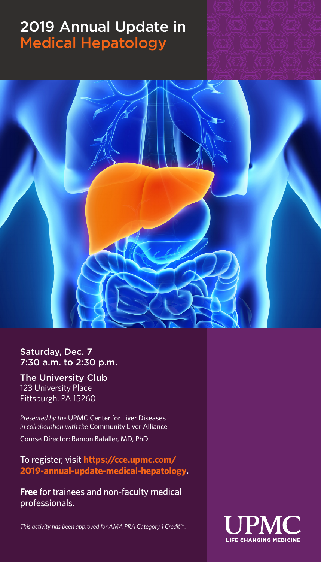## 2019 Annual Update in Medical Hepatology



Saturday, Dec. 7 7:30 a.m. to 2:30 p.m.

The University Club 123 University Place Pittsburgh, PA 15260

*Presented by the* UPMC Center for Liver Diseases *in collaboration with the* Community Liver Alliance

Course Director: Ramon Bataller, MD, PhD

To register, visit **https://cce.upmc.com/ 2019-annual-update-medical-hepatology.**

**Free** for trainees and non-faculty medical professionals.

*This activity has been approved for AMA PRA Category 1 Credit<sup>™</sup>.* 

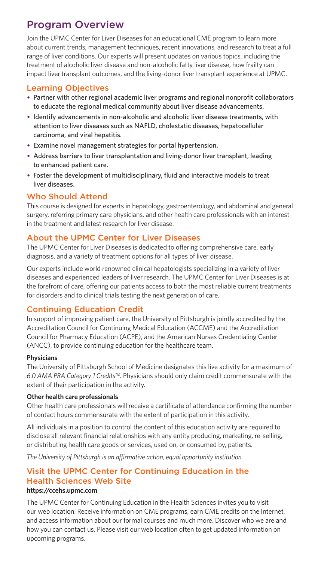## Program Overview

Join the UPMC Center for Liver Diseases for an educational CME program to learn more about current trends, management techniques, recent innovations, and research to treat a full range of liver conditions. Our experts will present updates on various topics, including the treatment of alcoholic liver disease and non-alcoholic fatty liver disease, how frailty can impact liver transplant outcomes, and the living-donor liver transplant experience at UPMC.

## Learning Objectives

- Partner with other regional academic liver programs and regional nonprofit collaborators to educate the regional medical community about liver disease advancements.
- Identify advancements in non-alcoholic and alcoholic liver disease treatments, with attention to liver diseases such as NAFLD, cholestatic diseases, hepatocellular carcinoma, and viral hepatitis.
- Examine novel management strategies for portal hypertension.
- Address barriers to liver transplantation and living-donor liver transplant, leading to enhanced patient care.
- Foster the development of multidisciplinary, fluid and interactive models to treat liver diseases.

## Who Should Attend

This course is designed for experts in hepatology, gastroenterology, and abdominal and general surgery, referring primary care physicians, and other health care professionals with an interest in the treatment and latest research for liver disease.

## About the UPMC Center for Liver Diseases

The UPMC Center for Liver Diseases is dedicated to offering comprehensive care, early diagnosis, and a variety of treatment options for all types of liver disease.

Our experts include world renowned clinical hepatologists specializing in a variety of liver diseases and experienced leaders of liver research. The UPMC Center for Liver Diseases is at the forefront of care, offering our patients access to both the most reliable current treatments for disorders and to clinical trials testing the next generation of care.

## Continuing Education Credit

In support of improving patient care, the University of Pittsburgh is jointly accredited by the Accreditation Council for Continuing Medical Education (ACCME) and the Accreditation Council for Pharmacy Education (ACPE), and the American Nurses Credentialing Center (ANCC), to provide continuing education for the healthcare team.

#### **Physicians**

The University of Pittsburgh School of Medicine designates this live activity for a maximum of *6.0 AMA PRA Category 1 CreditsTM.* Physicians should only claim credit commensurate with the extent of their participation in the activity.

#### **Other health care professionals**

Other health care professionals will receive a certificate of attendance confirming the number of contact hours commensurate with the extent of participation in this activity.

All individuals in a position to control the content of this education activity are required to disclose all relevant financial relationships with any entity producing, marketing, re-selling, or distributing health care goods or services, used on, or consumed by, patients.

*The University of Pittsburgh is an affirmative action, equal opportunity institution.*

## Visit the UPMC Center for Continuing Education in the Health Sciences Web Site

#### **https://ccehs.upmc.com**

The UPMC Center for Continuing Education in the Health Sciences invites you to visit our web location. Receive information on CME programs, earn CME credits on the Internet, and access information about our formal courses and much more. Discover who we are and how you can contact us. Please visit our web location often to get updated information on upcoming programs.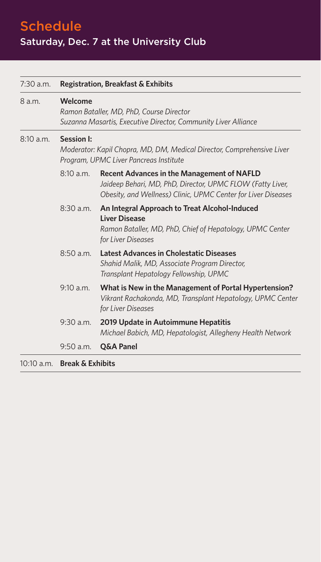Schedule Saturday, Dec. 7 at the University Club

| 7:30 a.m.    | <b>Registration, Breakfast &amp; Exhibits</b><br><b>Welcome</b><br>Ramon Bataller, MD, PhD, Course Director<br>Suzanna Masartis, Executive Director, Community Liver Alliance<br><b>Session I:</b><br>Moderator: Kapil Chopra, MD, DM, Medical Director, Comprehensive Liver<br>Program, UPMC Liver Pancreas Institute |                                                                                                                                                                                  |
|--------------|------------------------------------------------------------------------------------------------------------------------------------------------------------------------------------------------------------------------------------------------------------------------------------------------------------------------|----------------------------------------------------------------------------------------------------------------------------------------------------------------------------------|
| 8 a.m.       |                                                                                                                                                                                                                                                                                                                        |                                                                                                                                                                                  |
| 8:10 a.m.    |                                                                                                                                                                                                                                                                                                                        |                                                                                                                                                                                  |
|              | 8:10 a.m.                                                                                                                                                                                                                                                                                                              | <b>Recent Advances in the Management of NAFLD</b><br>Jaideep Behari, MD, PhD, Director, UPMC FLOW (Fatty Liver,<br>Obesity, and Wellness) Clinic, UPMC Center for Liver Diseases |
|              | $8:30$ a.m.                                                                                                                                                                                                                                                                                                            | An Integral Approach to Treat Alcohol-Induced<br><b>Liver Disease</b><br>Ramon Bataller, MD, PhD, Chief of Hepatology, UPMC Center<br>for Liver Diseases                         |
|              | 8:50 a.m.                                                                                                                                                                                                                                                                                                              | <b>Latest Advances in Cholestatic Diseases</b><br>Shahid Malik, MD, Associate Program Director,<br>Transplant Hepatology Fellowship, UPMC                                        |
|              | 9:10 a.m.                                                                                                                                                                                                                                                                                                              | What is New in the Management of Portal Hypertension?<br>Vikrant Rachakonda, MD, Transplant Hepatology, UPMC Center<br>for Liver Diseases                                        |
|              | $9:30$ a.m.                                                                                                                                                                                                                                                                                                            | 2019 Update in Autoimmune Hepatitis<br>Michael Babich, MD, Hepatologist, Allegheny Health Network                                                                                |
|              | 9:50 a.m.                                                                                                                                                                                                                                                                                                              | Q&A Panel                                                                                                                                                                        |
| $10:10$ a.m. | <b>Break &amp; Exhibits</b>                                                                                                                                                                                                                                                                                            |                                                                                                                                                                                  |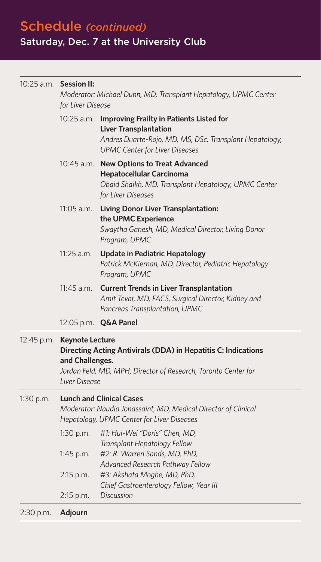Schedule *(continued)* Saturday, Dec. 7 at the University Club

## 10:25 a.m. **Session II:** *Moderator: Michael Dunn, MD, Transplant Hepatology, UPMC Center for Liver Disease* 10:25 a.m. **Improving Frailty in Patients Listed for Liver Transplantation** *Andres Duarte-Rojo, MD, MS, DSc, Transplant Hepatology, UPMC Center for Liver Diseases* 10:45 a.m. **New Options to Treat Advanced Hepatocellular Carcinoma** *Obaid Shaikh, MD, Transplant Hepatology, UPMC Center for Liver Diseases* 11:05 a.m. **Living Donor Liver Transplantation: the UPMC Experience** *Swaytha Ganesh, MD, Medical Director, Living Donor Program, UPMC* 11:25 a.m. **Update in Pediatric Hepatology** *Patrick McKiernan, MD, Director, Pediatric Hepatology Program, UPMC* 11:45 a.m. **Current Trends in Liver Transplantation** *Amit Tevar, MD, FACS, Surgical Director, Kidney and Pancreas Transplantation, UPMC* 12:05 p.m. **Q&A Panel** 12:45 p.m. **Keynote Lecture Directing Acting Antivirals (DDA) in Hepatitis C: Indications and Challenges.** *Jordan Feld, MD, MPH, Director of Research, Toronto Center for Liver Disease* 1:30 p.m. **Lunch and Clinical Cases** *Moderator: Naudia Jonassaint, MD, Medical Director of Clinical Hepatology, UPMC Center for Liver Diseases* 1:30 p.m. *#1: Hui-Wei "Doris" Chen, MD, Transplant Hepatology Fellow*  1:45 p.m. *#2: R. Warren Sands, MD, PhD, Advanced Research Pathway Fellow* 2:15 p.m. *#3: Akshata Moghe, MD, PhD, Chief Gastroenterology Fellow, Year III* 2:15 p.m. *Discussion*

2:30 p.m. **Adjourn**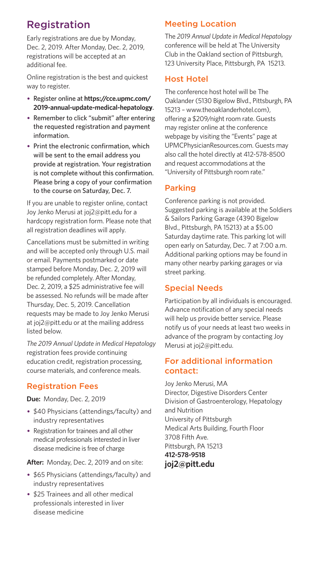## Registration

Early registrations are due by Monday, Dec. 2, 2019. After Monday, Dec. 2, 2019, registrations will be accepted at an additional fee.

Online registration is the best and quickest way to register.

- Register online at **https://cce.upmc.com/ 2019-annual-update-medical-hepatology**.
- Remember to click "submit" after entering the requested registration and payment information.
- Print the electronic confirmation, which will be sent to the email address you provide at registration. Your registration is not complete without this confirmation. Please bring a copy of your confirmation to the course on Saturday, Dec. 7.

If you are unable to register online, contact Joy Jenko Merusi at joj2@pitt.edu for a hardcopy registration form. Please note that all registration deadlines will apply.

Cancellations must be submitted in writing and will be accepted only through U.S. mail or email. Payments postmarked or date stamped before Monday, Dec. 2, 2019 will be refunded completely. After Monday, Dec. 2, 2019, a \$25 administrative fee will be assessed. No refunds will be made after Thursday, Dec. 5, 2019. Cancellation requests may be made to Joy Jenko Merusi at joj2@pitt.edu or at the mailing address listed below.

*The 2019 Annual Update in Medical Hepatology* registration fees provide continuing education credit, registration processing, course materials, and conference meals.

## Registration Fees

**Due:** Monday, Dec. 2, 2019

- \$40 Physicians (attendings/faculty) and industry representatives
- Registration for trainees and all other medical professionals interested in liver disease medicine is free of charge

**After:** Monday, Dec. 2, 2019 and on site:

- \$65 Physicians (attendings/faculty) and industry representatives
- \$25 Trainees and all other medical professionals interested in liver disease medicine

## Meeting Location

The *2019 Annual Update in Medical Hepatology* conference will be held at The University Club in the Oakland section of Pittsburgh, 123 University Place, Pittsburgh, PA 15213.

## Host Hotel

The conference host hotel will be The Oaklander (5130 Bigelow Blvd., Pittsburgh, PA 15213 – www.theoaklanderhotel.com), offering a \$209/night room rate. Guests may register online at the conference webpage by visiting the "Events" page at UPMCPhysicianResources.com. Guests may also call the hotel directly at 412-578-8500 and request accommodations at the "University of Pittsburgh room rate."

## Parking

Conference parking is not provided. Suggested parking is available at the Soldiers & Sailors Parking Garage (4390 Bigelow Blvd., Pittsburgh, PA 15213) at a \$5.00 Saturday daytime rate. This parking lot will open early on Saturday, Dec. 7 at 7:00 a.m. Additional parking options may be found in many other nearby parking garages or via street parking.

## Special Needs

Participation by all individuals is encouraged. Advance notification of any special needs will help us provide better service. Please notify us of your needs at least two weeks in advance of the program by contacting Joy Merusi at joj2@pitt.edu.

## For additional information contact:

Joy Jenko Merusi, MA Director, Digestive Disorders Center Division of Gastroenterology, Hepatology and Nutrition University of Pittsburgh Medical Arts Building, Fourth Floor 3708 Fifth Ave. Pittsburgh, PA 15213 **412-578-9518 joj2@pitt.edu**